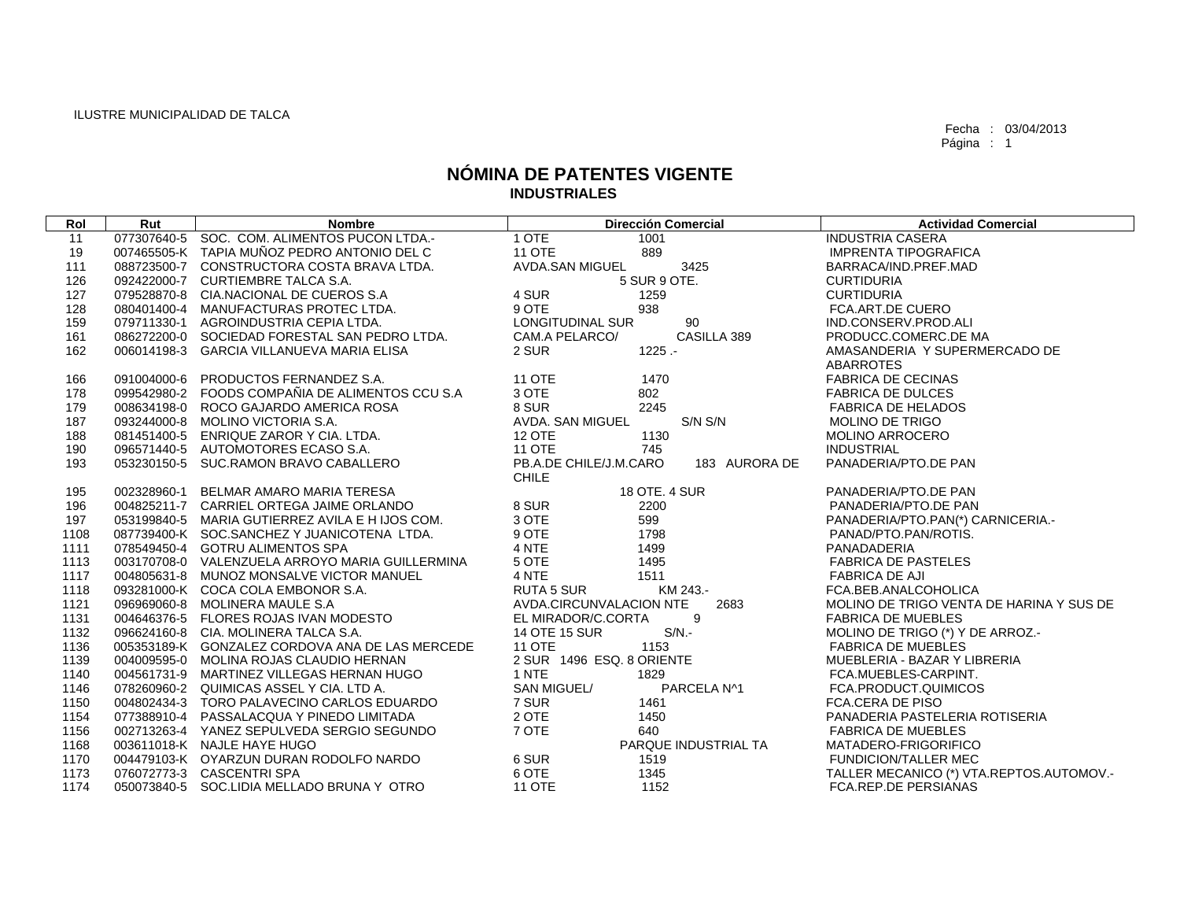Fecha : 03/04/2013 Página : 1

## **NÓMINA DE PATENTES VIGENTE INDUSTRIALES**

| Rol  | Rut         | <b>Nombre</b>                                   | <b>Dirección Comercial</b>              | <b>Actividad Comercial</b>               |
|------|-------------|-------------------------------------------------|-----------------------------------------|------------------------------------------|
| 11   |             | 077307640-5 SOC. COM. ALIMENTOS PUCON LTDA.-    | 1 OTE<br>1001                           | <b>INDUSTRIA CASERA</b>                  |
| 19   |             | 007465505-K TAPIA MUÑOZ PEDRO ANTONIO DEL C     | <b>11 OTE</b><br>889                    | <b>IMPRENTA TIPOGRAFICA</b>              |
| 111  |             | 088723500-7 CONSTRUCTORA COSTA BRAVA LTDA.      | AVDA.SAN MIGUEL<br>3425                 | BARRACA/IND.PREF.MAD                     |
| 126  |             | 092422000-7 CURTIEMBRE TALCA S.A.               | 5 SUR 9 OTE.                            | <b>CURTIDURIA</b>                        |
| 127  |             | 079528870-8 CIA.NACIONAL DE CUEROS S.A          | 4 SUR<br>1259                           | <b>CURTIDURIA</b>                        |
| 128  |             | 080401400-4 MANUFACTURAS PROTEC LTDA.           | 9 OTE<br>938                            | FCA.ART.DE CUERO                         |
| 159  |             | 079711330-1 AGROINDUSTRIA CEPIA LTDA.           | 90<br>LONGITUDINAL SUR                  | IND.CONSERV.PROD.ALI                     |
| 161  |             | 086272200-0 SOCIEDAD FORESTAL SAN PEDRO LTDA.   | CASILLA 389<br>CAM.A PELARCO/           | PRODUCC.COMERC.DE MA                     |
| 162  |             | 006014198-3 GARCIA VILLANUEVA MARIA ELISA       | 2 SUR<br>$1225 -$                       | AMASANDERIA Y SUPERMERCADO DE            |
|      |             |                                                 |                                         | ABARROTES                                |
| 166  | 091004000-6 | PRODUCTOS FERNANDEZ S.A.                        | <b>11 OTE</b><br>1470                   | <b>FABRICA DE CECINAS</b>                |
| 178  |             | 099542980-2 FOODS COMPAÑIA DE ALIMENTOS CCU S.A | 3 OTE<br>802                            | <b>FABRICA DE DULCES</b>                 |
| 179  |             | 008634198-0 ROCO GAJARDO AMERICA ROSA           | 8 SUR<br>2245                           | <b>FABRICA DE HELADOS</b>                |
| 187  |             | 093244000-8 MOLINO VICTORIA S.A.                | AVDA. SAN MIGUEL<br>$S/N$ $S/N$         | <b>MOLINO DE TRIGO</b>                   |
| 188  |             | 081451400-5 ENRIQUE ZAROR Y CIA, LTDA.          | <b>12 OTE</b><br>1130                   | <b>MOLINO ARROCERO</b>                   |
| 190  |             | 096571440-5 AUTOMOTORES ECASO S.A.              | <b>11 OTE</b><br>745                    | <b>INDUSTRIAL</b>                        |
| 193  |             | 053230150-5 SUC.RAMON BRAVO CABALLERO           | PB.A.DE CHILE/J.M.CARO<br>183 AURORA DE | PANADERIA/PTO.DE PAN                     |
|      |             |                                                 | <b>CHILE</b>                            |                                          |
| 195  |             | 002328960-1 BELMAR AMARO MARIA TERESA           | 18 OTE. 4 SUR                           | PANADERIA/PTO.DE PAN                     |
| 196  |             | 004825211-7 CARRIEL ORTEGA JAIME ORLANDO        | 8 SUR<br>2200                           | PANADERIA/PTO.DE PAN                     |
| 197  |             | 053199840-5 MARIA GUTIERREZ AVILA E H IJOS COM. | 3 OTE<br>599                            | PANADERIA/PTO.PAN(*) CARNICERIA.-        |
| 1108 |             | 087739400-K SOC.SANCHEZ Y JUANICOTENA LTDA.     | 9 OTE<br>1798                           | PANAD/PTO.PAN/ROTIS.                     |
| 1111 |             | 078549450-4 GOTRU ALIMENTOS SPA                 | 4 NTE<br>1499                           | PANADADERIA                              |
| 1113 |             | 003170708-0 VALENZUELA ARROYO MARIA GUILLERMINA | 5 OTE<br>1495                           | <b>FABRICA DE PASTELES</b>               |
| 1117 |             | 004805631-8 MUNOZ MONSALVE VICTOR MANUEL        | 4 NTE<br>1511                           | <b>FABRICA DE AJI</b>                    |
| 1118 |             | 093281000-K COCA COLA EMBONOR S.A.              | RUTA 5 SUR<br>KM 243.-                  | FCA.BEB.ANALCOHOLICA                     |
| 1121 |             | 096969060-8 MOLINERA MAULE S.A                  | AVDA.CIRCUNVALACION NTE<br>2683         | MOLINO DE TRIGO VENTA DE HARINA Y SUS DE |
| 1131 |             | 004646376-5 FLORES ROJAS IVAN MODESTO           | 9<br>EL MIRADOR/C.CORTA                 | <b>FABRICA DE MUEBLES</b>                |
| 1132 |             | 096624160-8 CIA, MOLINERA TALCA S.A.            | 14 OTE 15 SUR<br>$S/N$ .-               | MOLINO DE TRIGO (*) Y DE ARROZ.-         |
| 1136 |             | 005353189-K GONZALEZ CORDOVA ANA DE LAS MERCEDE | <b>11 OTE</b><br>1153                   | <b>FABRICA DE MUEBLES</b>                |
| 1139 |             | 004009595-0 MOLINA ROJAS CLAUDIO HERNAN         | 2 SUR 1496 ESQ. 8 ORIENTE               | MUEBLERIA - BAZAR Y LIBRERIA             |
| 1140 |             | 004561731-9 MARTINEZ VILLEGAS HERNAN HUGO       | 1 NTE<br>1829                           | FCA.MUEBLES-CARPINT.                     |
| 1146 |             | 078260960-2 QUIMICAS ASSEL Y CIA, LTD A.        | SAN MIGUEL/<br>PARCELA N^1              | FCA.PRODUCT.QUIMICOS                     |
| 1150 |             | 004802434-3 TORO PALAVECINO CARLOS EDUARDO      | 7 SUR<br>1461                           | FCA.CERA DE PISO                         |
| 1154 |             | 077388910-4 PASSALACQUA Y PINEDO LIMITADA       | 2 OTE<br>1450                           | PANADERIA PASTELERIA ROTISERIA           |
| 1156 |             | 002713263-4 YANEZ SEPULVEDA SERGIO SEGUNDO      | 7 OTE<br>640                            | <b>FABRICA DE MUEBLES</b>                |
| 1168 |             | 003611018-K NAJLE HAYE HUGO                     | PARQUE INDUSTRIAL TA                    | MATADERO-FRIGORIFICO                     |
| 1170 |             | 004479103-K OYARZUN DURAN RODOLFO NARDO         | 6 SUR<br>1519                           | <b>FUNDICION/TALLER MEC</b>              |
| 1173 |             | 076072773-3 CASCENTRI SPA                       | 6 OTE<br>1345                           | TALLER MECANICO (*) VTA.REPTOS.AUTOMOV.- |
| 1174 |             | 050073840-5 SOC.LIDIA MELLADO BRUNA Y OTRO      | <b>11 OTE</b><br>1152                   | <b>FCA, REP. DE PERSIANAS</b>            |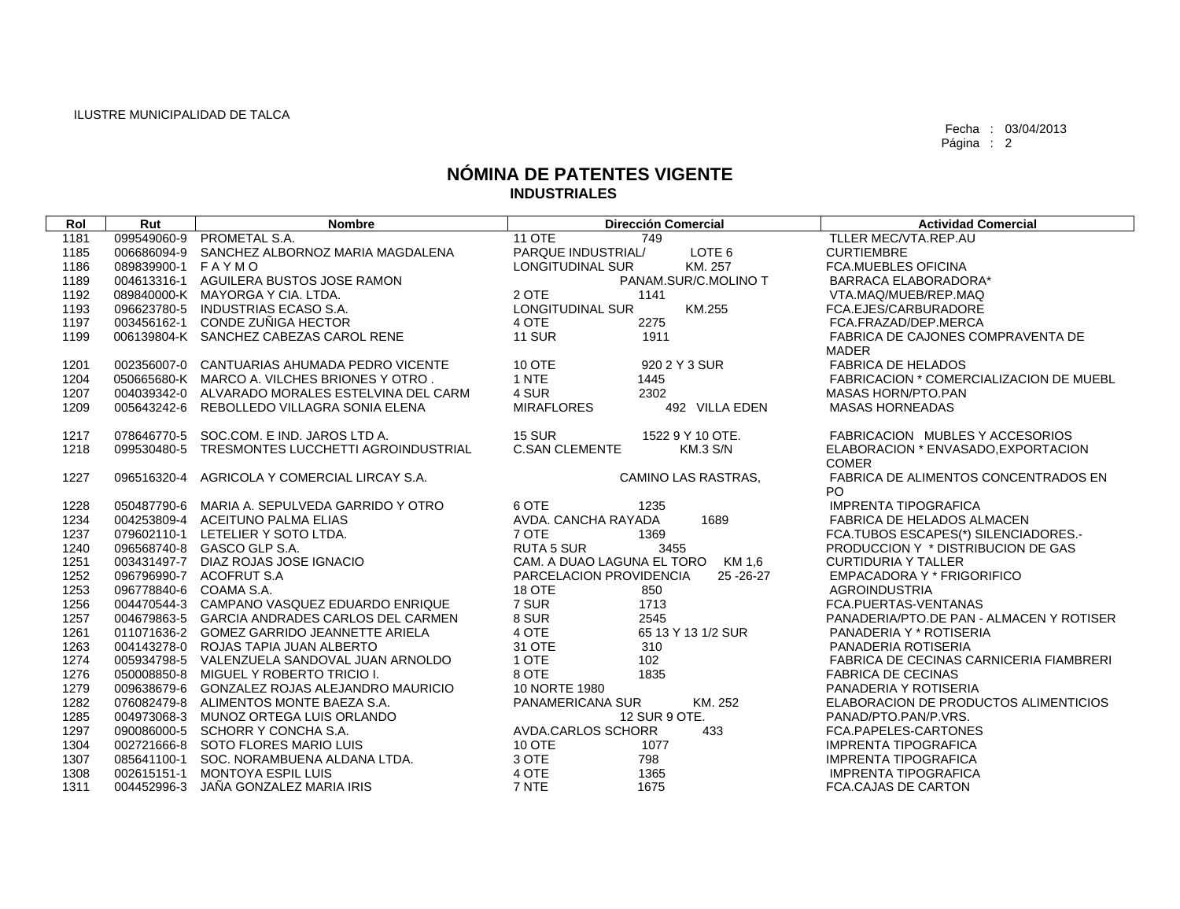Fecha : 03/04/2013 Página : 2

## **NÓMINA DE PATENTES VIGENTE INDUSTRIALES**

| Rol  | Rut               | <b>Nombre</b>                                   | <b>Dirección Comercial</b>               | <b>Actividad Comercial</b>               |
|------|-------------------|-------------------------------------------------|------------------------------------------|------------------------------------------|
| 1181 | 099549060-9       | PROMETAL S.A.                                   | <b>11 OTE</b><br>749                     | TLLER MEC/VTA.REP.AU                     |
| 1185 | 006686094-9       | SANCHEZ ALBORNOZ MARIA MAGDALENA                | PARQUE INDUSTRIAL/<br>LOTE 6             | <b>CURTIEMBRE</b>                        |
| 1186 | 089839900-1 FAYMO |                                                 | KM. 257<br><b>LONGITUDINAL SUR</b>       | <b>FCA.MUEBLES OFICINA</b>               |
| 1189 |                   | 004613316-1 AGUILERA BUSTOS JOSE RAMON          | PANAM.SUR/C.MOLINO T                     | BARRACA ELABORADORA*                     |
| 1192 |                   | 089840000-K MAYORGA Y CIA. LTDA.                | 2 OTE<br>1141                            | VTA.MAQ/MUEB/REP.MAQ                     |
| 1193 | 096623780-5       | INDUSTRIAS ECASO S.A.                           | <b>LONGITUDINAL SUR</b><br>KM.255        | FCA.EJES/CARBURADORE                     |
| 1197 | 003456162-1       | CONDE ZUÑIGA HECTOR                             | 4 OTE<br>2275                            | FCA.FRAZAD/DEP.MERCA                     |
| 1199 |                   | 006139804-K SANCHEZ CABEZAS CAROL RENE          | <b>11 SUR</b><br>1911                    | FABRICA DE CAJONES COMPRAVENTA DE        |
|      |                   |                                                 |                                          | <b>MADER</b>                             |
| 1201 |                   | 002356007-0 CANTUARIAS AHUMADA PEDRO VICENTE    | 10 OTE<br>920 2 Y 3 SUR                  | <b>FABRICA DE HELADOS</b>                |
| 1204 |                   | 050665680-K MARCO A. VILCHES BRIONES Y OTRO.    | 1 NTE<br>1445                            | FABRICACION * COMERCIALIZACION DE MUEBL  |
| 1207 |                   | 004039342-0 ALVARADO MORALES ESTELVINA DEL CARM | 4 SUR<br>2302                            | MASAS HORN/PTO.PAN                       |
| 1209 | 005643242-6       | REBOLLEDO VILLAGRA SONIA ELENA                  | <b>MIRAFLORES</b><br>492 VILLA EDEN      | <b>MASAS HORNEADAS</b>                   |
|      |                   |                                                 |                                          |                                          |
| 1217 |                   | 078646770-5 SOC.COM, E IND, JAROS LTD A.        | <b>15 SUR</b><br>1522 9 Y 10 OTE.        | FABRICACION MUBLES Y ACCESORIOS          |
| 1218 | 099530480-5       | TRESMONTES LUCCHETTI AGROINDUSTRIAL             | <b>C.SAN CLEMENTE</b><br><b>KM.3 S/N</b> | ELABORACION * ENVASADO, EXPORTACION      |
|      |                   |                                                 |                                          | <b>COMER</b>                             |
| 1227 | 096516320-4       | AGRICOLA Y COMERCIAL LIRCAY S.A.                | CAMINO LAS RASTRAS,                      | FABRICA DE ALIMENTOS CONCENTRADOS EN     |
|      |                   |                                                 |                                          | PO.                                      |
| 1228 |                   | 050487790-6 MARIA A. SEPULVEDA GARRIDO Y OTRO   | 6 OTE<br>1235                            | <b>IMPRENTA TIPOGRAFICA</b>              |
| 1234 |                   | 004253809-4 ACEITUNO PALMA ELIAS                | AVDA. CANCHA RAYADA<br>1689              | FABRICA DE HELADOS ALMACEN               |
| 1237 |                   | 079602110-1 LETELIER Y SOTO LTDA.               | 7 OTE<br>1369                            | FCA.TUBOS ESCAPES(*) SILENCIADORES.-     |
| 1240 |                   | 096568740-8 GASCO GLP S.A.                      | 3455<br><b>RUTA 5 SUR</b>                | PRODUCCION Y * DISTRIBUCION DE GAS       |
| 1251 |                   | 003431497-7 DIAZ ROJAS JOSE IGNACIO             | CAM. A DUAO LAGUNA EL TORO KM 1,6        | <b>CURTIDURIA Y TALLER</b>               |
| 1252 |                   | 096796990-7 ACOFRUT S.A                         | PARCELACION PROVIDENCIA<br>25 - 26 - 27  | EMPACADORA Y * FRIGORIFICO               |
| 1253 |                   | 096778840-6 COAMA S.A.                          | <b>18 OTE</b><br>850                     | <b>AGROINDUSTRIA</b>                     |
| 1256 |                   | 004470544-3 CAMPANO VASQUEZ EDUARDO ENRIQUE     | 7 SUR<br>1713                            | FCA.PUERTAS-VENTANAS                     |
| 1257 |                   | 004679863-5 GARCIA ANDRADES CARLOS DEL CARMEN   | 8 SUR<br>2545                            | PANADERIA/PTO.DE PAN - ALMACEN Y ROTISER |
| 1261 |                   | 011071636-2 GOMEZ GARRIDO JEANNETTE ARIELA      | 4 OTE<br>65 13 Y 13 1/2 SUR              | PANADERIA Y * ROTISERIA                  |
| 1263 |                   | 004143278-0 ROJAS TAPIA JUAN ALBERTO            | 31 OTE<br>310                            | PANADERIA ROTISERIA                      |
| 1274 |                   | 005934798-5 VALENZUELA SANDOVAL JUAN ARNOLDO    | 1 OTE<br>102                             | FABRICA DE CECINAS CARNICERIA FIAMBRERI  |
| 1276 |                   | 050008850-8 MIGUEL Y ROBERTO TRICIO I.          | 8 OTE<br>1835                            | <b>FABRICA DE CECINAS</b>                |
| 1279 | 009638679-6       | GONZALEZ ROJAS ALEJANDRO MAURICIO               | 10 NORTE 1980                            | PANADERIA Y ROTISERIA                    |
| 1282 |                   | 076082479-8 ALIMENTOS MONTE BAEZA S.A.          | KM. 252<br>PANAMERICANA SUR              | ELABORACION DE PRODUCTOS ALIMENTICIOS    |
| 1285 |                   | 004973068-3 MUNOZ ORTEGA LUIS ORLANDO           | 12 SUR 9 OTE.                            | PANAD/PTO.PAN/P.VRS.                     |
| 1297 |                   | 090086000-5 SCHORR Y CONCHA S.A.                | AVDA, CARLOS SCHORR<br>433               | FCA.PAPELES-CARTONES                     |
| 1304 |                   | 002721666-8 SOTO FLORES MARIO LUIS              | <b>10 OTE</b><br>1077                    | <b>IMPRENTA TIPOGRAFICA</b>              |
| 1307 | 085641100-1       | SOC. NORAMBUENA ALDANA LTDA.                    | 3 OTE<br>798<br>4 OTE                    | <b>IMPRENTA TIPOGRAFICA</b>              |
| 1308 | 002615151-1       | MONTOYA ESPIL LUIS                              | 1365<br>7 NTE                            | <b>IMPRENTA TIPOGRAFICA</b>              |
| 1311 | 004452996-3       | JAÑA GONZALEZ MARIA IRIS                        | 1675                                     | <b>FCA.CAJAS DE CARTON</b>               |